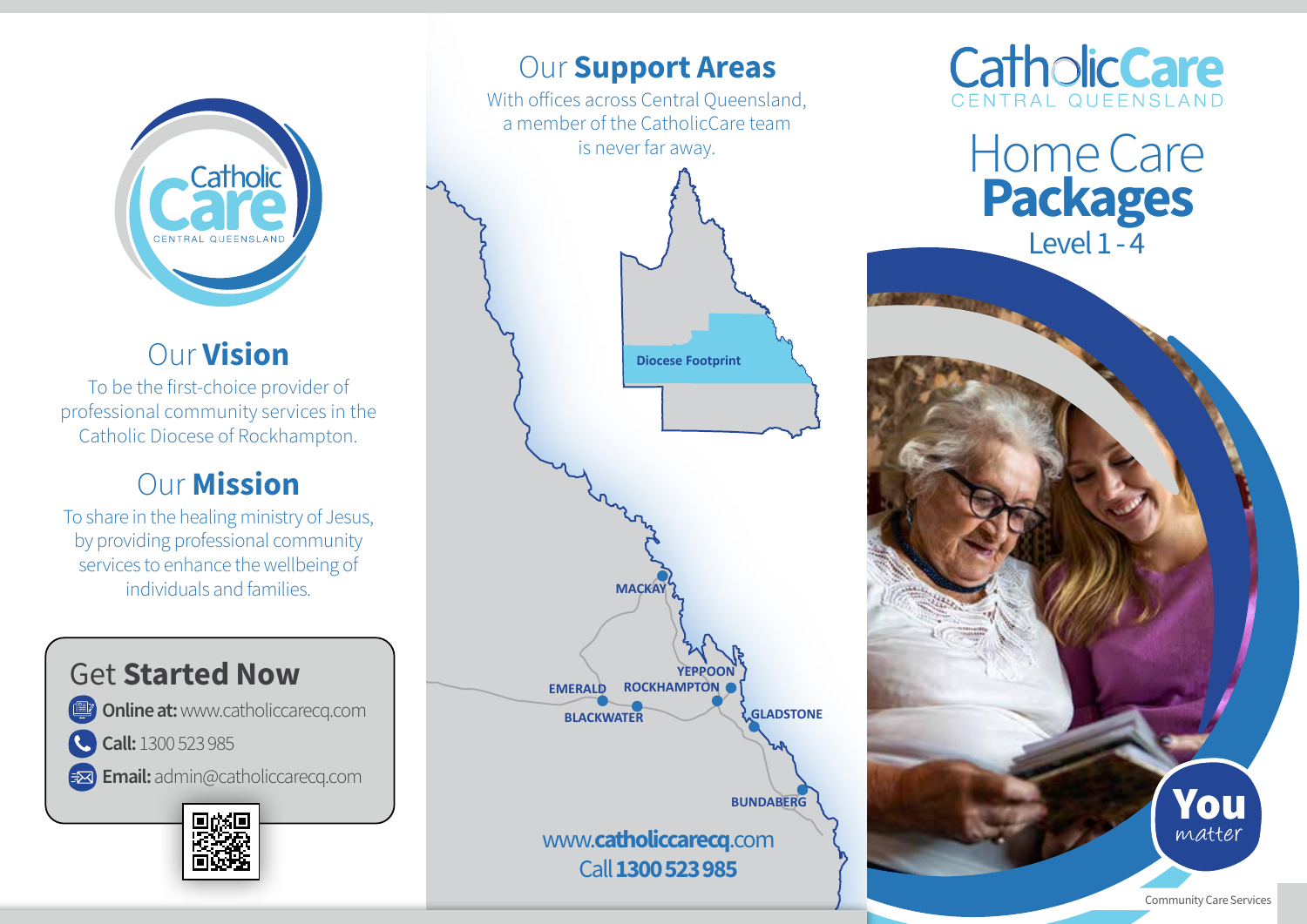

## Our Vision

To be the first-choice provider of professional community services in the Catholic Diocese of Rockhampton.

### Our Mission

To share in the healing ministry of Jesus, by providing professional community services to enhance the wellbeing of individuals and families.

## Get Started Now

**Online at: www.catholiccarecq.com** 

C Call: 1300 523 985

Email: admin@catholiccarecq.com



## **EMERALD BLACKWATER CLADSTONE ROCKHAMPTON YEPPOON BUNDABERG Diocese Footprint MACKA** www.catholiccarecq.com Call 1300 523 985 **Our Support Areas** With offices across Central Oueensland, a member of the CatholicCare team is never far away.



Home Care Packages Level 1 - 4